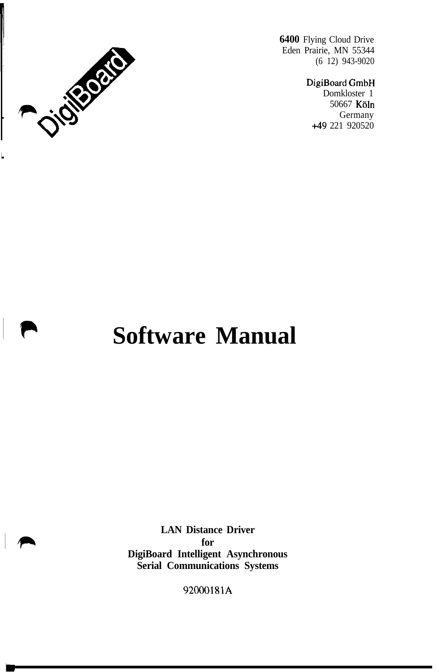

Ļ

**6400** Flying Cloud Drive Eden Prairie, MN 55344 (6 12) 943-9020

> DigiBoard GmbH Domkloster 1 50667 Köln Germany +49 221 920520

# **Software Manual**

**LAN Distance Driver for DigiBoard Intelligent Asynchronous Serial Communications Systems**

92000181A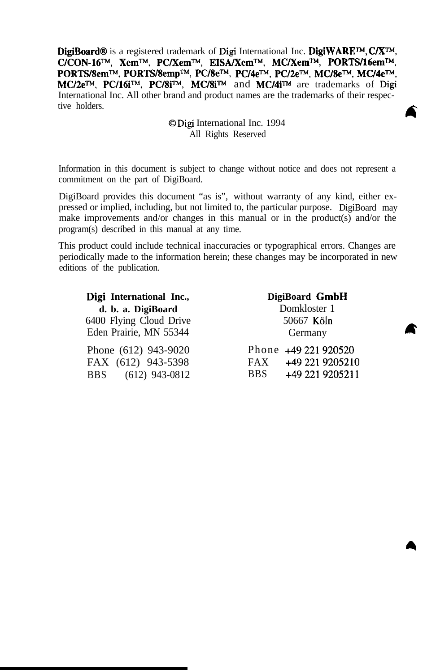**DigiBoard@** is a registered trademark of Digi International Inc. **DigiWAREm, CIXTM, C/CON-16m, Xemm, PC/XemTM, EISA/XemTM, MC/Xemw, PORTS/16emTM, PORTSk?em~, PORTS/8empTM, PUSem, PU4e TM, PC/2eTM, MC/Sew, MC14eTM, MC/2e<sup>™</sup>, PC/16i™, PC/8i™, MC/8i™** and MC/4i™ are trademarks of Digi International Inc. All other brand and product names are the trademarks of their respective holders.

#### 0 Digi International Inc. 1994 All Rights Reserved

A

Information in this document is subject to change without notice and does not represent a commitment on the part of DigiBoard.

DigiBoard provides this document "as is", without warranty of any kind, either expressed or implied, including, but not limited to, the particular purpose. DigiBoard may make improvements and/or changes in this manual or in the product(s) and/or the program(s) described in this manual at any time.

This product could include technical inaccuracies or typographical errors. Changes are periodically made to the information herein; these changes may be incorporated in new editions of the publication.

| Digi International Inc., | DigiBoard GmbH                |  |  |  |
|--------------------------|-------------------------------|--|--|--|
| d. b. a. DigiBoard       | Domkloster 1                  |  |  |  |
| 6400 Flying Cloud Drive  | 50667 Köln                    |  |  |  |
| Eden Prairie, MN 55344   | Germany                       |  |  |  |
| Phone (612) 943-9020     | Phone +49 221 920520          |  |  |  |
| FAX (612) 943-5398       | $FAX$ +49 221 9205210         |  |  |  |
| BBS (612) 943-0812       | +49 221 9205211<br><b>BBS</b> |  |  |  |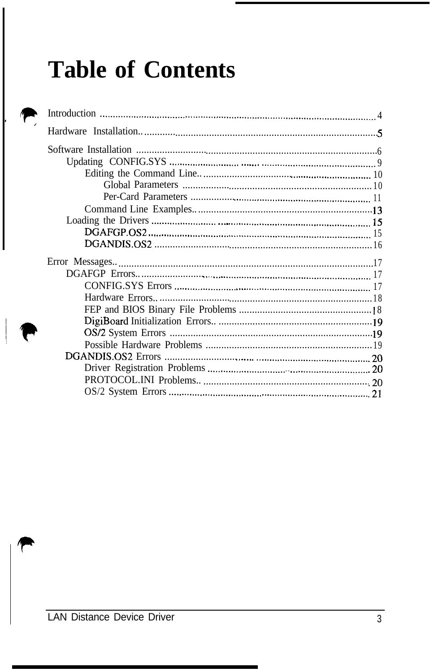# **Table of Contents**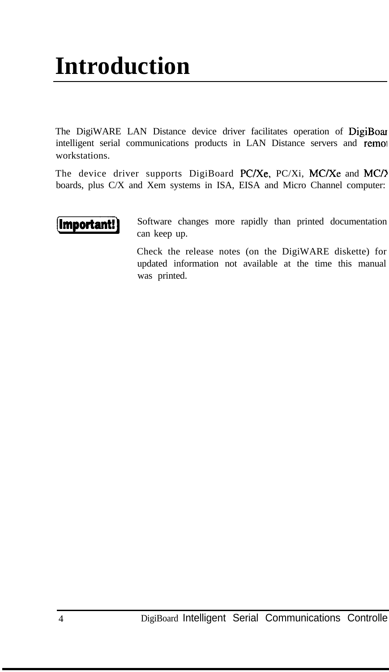# **Introduction**

The DigiWARE LAN Distance device driver facilitates operation of DigiBoar intelligent serial communications products in LAN Distance servers and remol workstations.

The device driver supports DigiBoard PC/Xe, PC/Xi, MC/Xe and MC/ boards, plus C/X and Xem systems in ISA, EISA and Micro Channel computer:



Software changes more rapidly than printed documentation can keep up.

Check the release notes (on the DigiWARE diskette) for updated information not available at the time this manual was printed.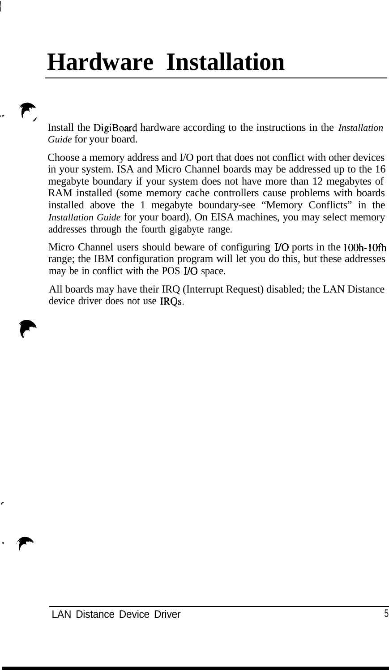# **Hardware Installation**

Install the DigiBoard hardware according to the instructions in the *Installation Guide* for your board.

Choose a memory address and I/O port that does not conflict with other devices in your system. ISA and Micro Channel boards may be addressed up to the 16 megabyte boundary if your system does not have more than 12 megabytes of RAM installed (some memory cache controllers cause problems with boards installed above the 1 megabyte boundary-see "Memory Conflicts" in the *Installation Guide* for your board). On EISA machines, you may select memory addresses through the fourth gigabyte range.

Micro Channel users should beware of configuring I/O ports in the lOOh-1Ofh range; the IBM configuration program will let you do this, but these addresses may be in conflict with the POS I/O space.

All boards may have their IRQ (Interrupt Request) disabled; the LAN Distance device driver does not use IRQs.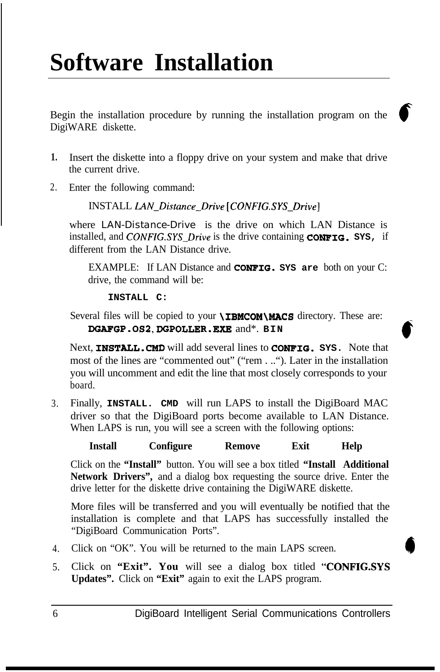# **Software Installation**

Begin the installation procedure by running the installation program on the DigiWARE diskette.

- **1.** Insert the diskette into a floppy drive on your system and make that drive the current drive.
- 2. Enter the following command:

INSTALL *LAN\_Distance\_Drive [CONFIG.SYS\_Drive]*

where *LAN-Distance-Drive* is the drive on which LAN Distance is installed, and *CONFIG.SYS\_Drive* is the drive containing **CONFIG. SYS,** if different from the LAN Distance drive.

EXAMPLE: If LAN Distance and **CONFIG. SYS are** both on your C: drive, the command will be:

**c**

**INSTALL C:**

Several files will be copied to your **\IBMCOM\MACS** directory. These are: **DGAFGP.OS2,DGPOLLER.EXE** and\*. **BIN**

Next, **INSTALL.CMD** will add several lines to **CONFIG. SYS.** Note that most of the lines are "commented out" ("rem . .."). Later in the installation you will uncomment and edit the line that most closely corresponds to your board.

3. Finally, **INSTALL. CMD** will run LAPS to install the DigiBoard MAC driver so that the DigiBoard ports become available to LAN Distance. When LAPS is run, you will see a screen with the following options:

**Install Configure Remove Exit Help**

Click on the **"Install"** button. You will see a box titled **"Install Additional Network Drivers",** and a dialog box requesting the source drive. Enter the drive letter for the diskette drive containing the DigiWARE diskette.

More files will be transferred and you will eventually be notified that the installation is complete and that LAPS has successfully installed the "DigiBoard Communication Ports".

- 4. Click on "OK". You will be returned to the main LAPS screen.
- 5. Click on **"Exit". You** will see a dialog box titled **"CONFIGSYS Updates".** Click on **"Exit"** again to exit the LAPS program.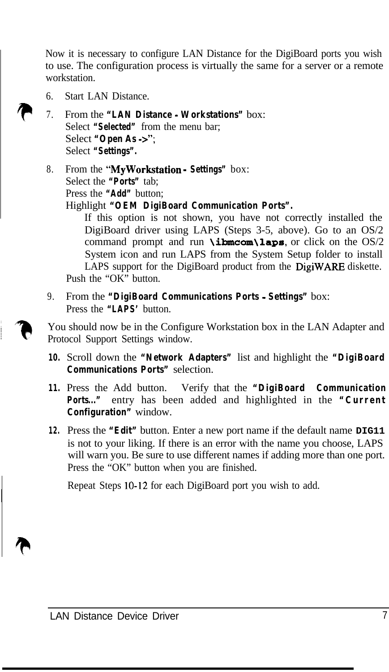Now it is necessary to configure LAN Distance for the DigiBoard ports you wish to use. The configuration process is virtually the same for a server or a remote workstation.

- 6. Start LAN Distance.
- 7. From the **"LAN Distance - Workstations"** box: Select **"Selected"** from the menu bar; Select **"Open As ->";** Select **"Settings".**
- 8. From the **"MyWorkstation Settings"** box: Select the **"Ports"** tab; Press the **"Add"** button;
	- Highlight **"OEM DigiBoard Communication Ports".**

If this option is not shown, you have not correctly installed the DigiBoard driver using LAPS (Steps 3-5, above). Go to an OS/2 command prompt and run **\ibmcom\laps**, or click on the OS/2 System icon and run LAPS from the System Setup folder to install LAPS support for the DigiBoard product from the DigiWARE diskette. Push the "OK" button.

9. From the **"DigiBoard Communications Ports - Settings"** box: Press the **"LAPS'** button.

You should now be in the Configure Workstation box in the LAN Adapter and Protocol Support Settings window.

- **10.** Scroll down the **"Network Adapters"** list and highlight the **"DigiBoard Communications Ports"** selection.
- 11. Press the Add button. Verify that the "DigiBoard Communication **Ports..."** entry has been added and highlighted in the **"Current Configuration"** window.
- **12.** Press the **"Edit"** button. Enter a new port name if the default name **DIG11** is not to your liking. If there is an error with the name you choose, LAPS will warn you. Be sure to use different names if adding more than one port. Press the "OK" button when you are finished.

Repeat Steps 10-12 for each DigiBoard port you wish to add.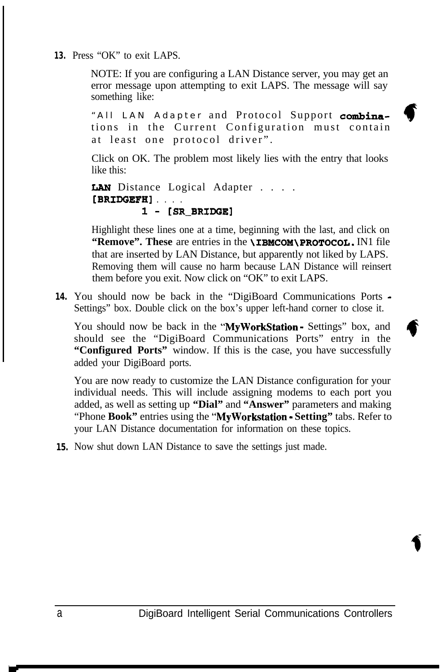**13.** Press "OK" to exit LAPS.

NOTE: If you are configuring a LAN Distance server, you may get an error message upon attempting to exit LAPS. The message will say something like:

"All LAN Adapter and Protocol Support combinations in the Current Configuration must contain at least one protocol driver".

Click on OK. The problem most likely lies with the entry that looks like this:

LAN Distance Logical Adapter . . . . [BRIDGEFH] . . . . 1 - [SR\_BRIDGE]

Highlight these lines one at a time, beginning with the last, and click on **"Remove".** These are entries in the **\IBMCOM\PROTOCOL**. IN1 file that are inserted by LAN Distance, but apparently not liked by LAPS. Removing them will cause no harm because LAN Distance will reinsert them before you exit. Now click on "OK" to exit LAPS.

**14.** You should now be back in the "DigiBoard Communications Ports - Settings" box. Double click on the box's upper left-hand corner to close it.

You should now be back in the "MyWorkStation - Settings" box, and should see the "DigiBoard Communications Ports" entry in the **"Configured Ports"** window. If this is the case, you have successfully added your DigiBoard ports.

You are now ready to customize the LAN Distance configuration for your individual needs. This will include assigning modems to each port you added, as well as setting up **"Dial"** and **"Answer"** parameters and making "Phone **Book"** entries using the **"MyWorkstation - Setting"** tabs. Refer to your LAN Distance documentation for information on these topics.

**15.** Now shut down LAN Distance to save the settings just made.

f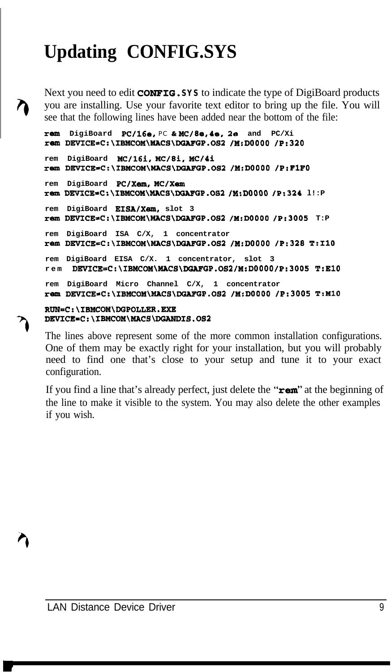## **Updating CONFIG.SYS**

Next you need to edit CONFIG. **SYS** to indicate the type of DigiBoard products you are installing. Use your favorite text editor to bring up the file. You will see that the following lines have been added near the bottom of the file:

```
rem DigiBoard PC/l&a, PC h MC/ha, Pe. 2s and PC/Xi
rem DEVICE~C:\IBMCOM\MACS\DGAFGP.082 /M;DOOOO /P:320
rem DigiBoard MC/16i, MC/Bi, MC/4i
rem DEWICE=C:\IBMCOM\lUCS\DGAFGP.0S2 /M:DOOOO /P:FlFO
rem DigiBoard PC/Xem, MC/Xem
rem DEVICE=C:\IBMCOM\MACS\DGAFGP.OS2 /M:D0000 /P:324 l!:P
rem DigiBoard EISA/Xem, slot 3
rBm DEVICE=C:\IBMCOM\MACS\DGAFGP.OS2 /M:DOOOO /P:3005 T:P
rem DigiBoard ISA C/X, 1 concentrator
rem DEVICE=C:\IBMCOM\MACS\DGAFGP.0S2 /M:DOOOO /P:328 T:IlO
rem DigiBoard EISA C/X. 1 concentrator, slot 3
rem DBVICE=C:\IBMCOM\MACS\DGAFGP.OS2 /MIDOOOO /P:3005 T:BlO
rem DigiBoard Micro Channel C/X, 1 concentrator
rem DEVICE=C:\IBMCOM\MACS\DGAFGP.082 /M:DOOOO /P:3005 T:MlO
RUN=C:\IBMCOM\DGPOLLER.EXE
```
### **D?WICE=C:\IBMCOM\MACS\ DGmm1s.0s2**

The lines above represent some of the more common installation configurations. One of them may be exactly right for your installation, but you will probably need to find one that's close to your setup and tune it to your exact configuration.

If you find a line that's already perfect, just delete the " $\mathbf{rem}$ " at the beginning of the line to make it visible to the system. You may also delete the other examples if you wish.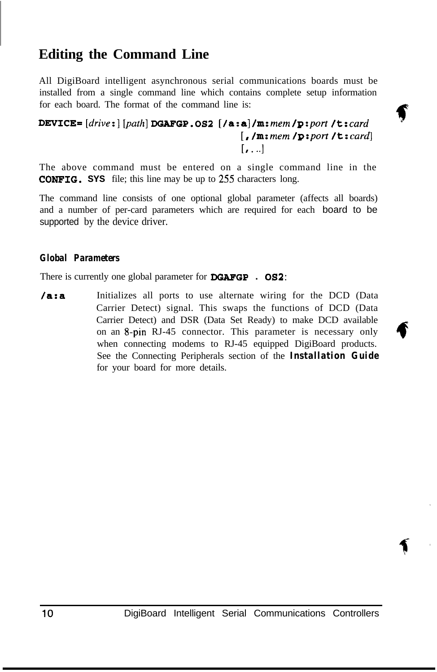### **Editing the Command Line**

All DigiBoard intelligent asynchronous serial communications boards must be installed from a single command line which contains complete setup information for each board. The format of the command line is:

### For each board. The format of the command line is:<br>DEVICE=  $\left[$  *drive*: $\left[$  *[path*] DGAFGP.0S2  $\left[$  / **a**:a] /**m**: *mem* /**p**:port /**t**:card [, */m:mem /p:port /t:card] [I* . ..I

'

 $\blacklozenge$ 

The above command must be entered on a single command line in the **CONFIG.** SYS file; this line may be up to 255 characters long.

The command line consists of one optional global parameter (affects all boards) and a number of per-card parameters which are required for each board to be supported by the device driver.

#### *Global Parameters*

There is currently one global parameter for DGAFGP **. OS2:**

**/a:a** Initializes all ports to use alternate wiring for the DCD (Data Carrier Detect) signal. This swaps the functions of DCD (Data Carrier Detect) and DSR (Data Set Ready) to make DCD available on an 8-pin RJ-45 connector. This parameter is necessary only when connecting modems to RJ-45 equipped DigiBoard products. See the Connecting Peripherals section of the *Installation Guide* for your board for more details.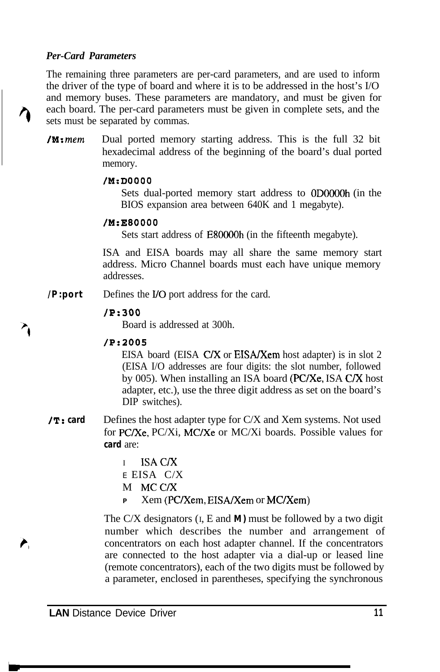#### *Per-Card Parameters*

The remaining three parameters are per-card parameters, and are used to inform the driver of the type of board and where it is to be addressed in the host's I/O and memory buses. These parameters are mandatory, and must be given for each board. The per-card parameters must be given in complete sets, and the sets must be separated by commas.

**/M: mem** Dual ported memory starting address. This is the full 32 bit hexadecimal address of the beginning of the board's dual ported memory.

#### **/M:DOOOO**

Sets dual-ported memory start address to ODOOOOh (in the BIOS expansion area between 640K and 1 megabyte).

#### **/M:E80000**

Sets start address of E80OOOh (in the fifteenth megabyte).

ISA and EISA boards may all share the same memory start address. Micro Channel boards must each have unique memory addresses.

*/P:port* Defines the I/O port address for the card.

#### **/P:300**

Board is addressed at 300h.

#### /P:2005

EISA board (EISA C/X or EISA/Xem host adapter) is in slot 2 (EISA I/O addresses are four digits: the slot number, followed by 005). When installing an ISA board (PC/Xe, ISA C/X host adapter, etc.), use the three digit address as set on the board's DIP switches).

- /T: *card* Defines the host adapter type for C/X and Xem systems. Not used for PC/Xc, PC/Xi, MC/Xc or MC/Xi boards. Possible values for *card* are:
	- I ISAC/X *E* EISA C/X M MCC/X
	- **<sup>P</sup>** Xem (PC/Xem, EISA/Xem or MC/Xem)

The C/X designators  $(I, E \text{ and } M)$  must be followed by a two digit number which describes the number and arrangement of concentrators on each host adapter channel. If the concentrators are connected to the host adapter via a dial-up or leased line (remote concentrators), each of the two digits must be followed by a parameter, enclosed in parentheses, specifying the synchronous

À.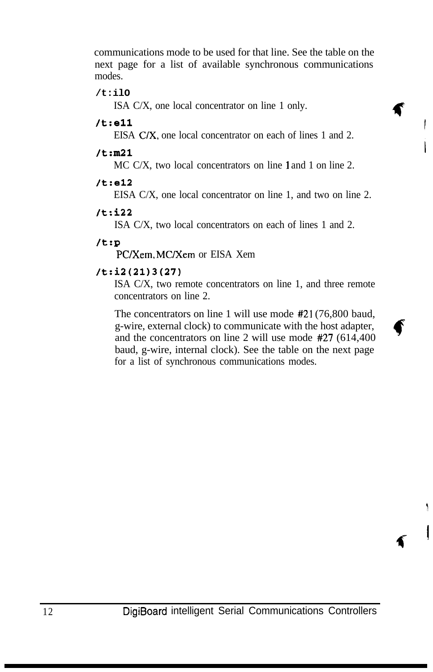communications mode to be used for that line. See the table on the next page for a list of available synchronous communications modes.

#### **/t:ilO**

ISA C/X, one local concentrator on line 1 only.

#### /t:ell

EISA C/X, one local concentrator on each of lines 1 and 2.

#### **/t:m21**

MC C/X, two local concentrators on line 1 and 1 on line 2.

#### **/t:e12**

EISA C/X, one local concentrator on line 1, and two on line 2.

#### **/t:i22**

ISA C/X, two local concentrators on each of lines 1 and 2.

#### /t:P

PC/Xem, MC/Xem or EISA Xem

#### /t:i2(21)3(27)

ISA C/X, two remote concentrators on line 1, and three remote concentrators on line 2.

The concentrators on line 1 will use mode #21 (76,800 baud, g-wire, external clock) to communicate with the host adapter, and the concentrators on line 2 will use mode #27 (614,400 baud, g-wire, internal clock). See the table on the next page for a list of synchronous communications modes.

3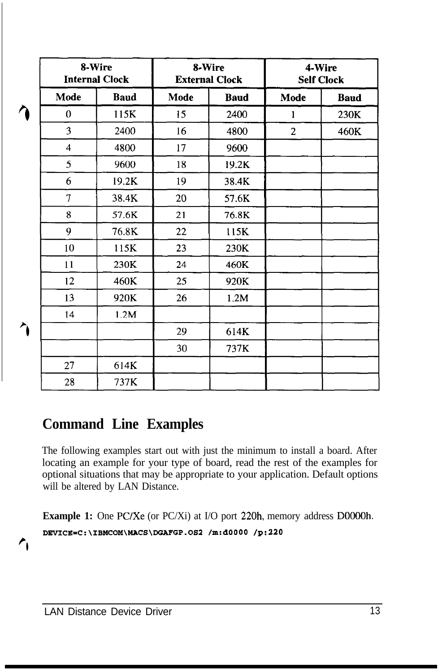|      | 8-Wire<br><b>Internal Clock</b> |      | 8-Wire<br><b>External Clock</b> |                | 4-Wire<br><b>Self Clock</b> |  |
|------|---------------------------------|------|---------------------------------|----------------|-----------------------------|--|
| Mode | <b>Baud</b>                     | Mode | <b>Baud</b>                     | Mode           | <b>Baud</b>                 |  |
| 0    | 115K                            | 15   | 2400                            | $\mathbf{1}$   | 230K                        |  |
| 3    | 2400                            | 16   | 4800                            | $\overline{c}$ | 460K                        |  |
| 4    | 4800                            | 17   | 9600                            |                |                             |  |
| 5    | 9600                            | 18   | 19.2K                           |                |                             |  |
| 6    | 19.2K                           | 19   | 38.4K                           |                |                             |  |
| 7    | 38.4K                           | 20   | 57.6K                           |                |                             |  |
| 8    | 57.6K                           | 21   | 76.8K                           |                |                             |  |
| 9    | 76.8K                           | 22   | 115K                            |                |                             |  |
| 10   | 115K                            | 23   | 230K                            |                |                             |  |
| 11   | 230K                            | 24   | 460K                            |                |                             |  |
| 12   | 460K                            | 25   | 920K                            |                |                             |  |
| 13   | 920K                            | 26   | 1.2M                            |                |                             |  |
| 14   | 1.2M                            |      |                                 |                |                             |  |
|      |                                 | 29   | 614K                            |                |                             |  |
|      |                                 | 30   | 737K                            |                |                             |  |
| 27   | 614K                            |      |                                 |                |                             |  |
| 28   | 737K                            |      |                                 |                |                             |  |

## **Command Line Examples**

The following examples start out with just the minimum to install a board. After locating an example for your type of board, read the rest of the examples for optional situations that may be appropriate to your application. Default options will be altered by LAN Distance.

**Example 1:** One PC/Xe (or PC/Xi) at I/O port 220h, memory address D0000h. **DEVICE=C:\IBMCOM\MACS\DGAFGP.052 /m:dOOOO /9:220**

 $\mathbf{r}_{1}$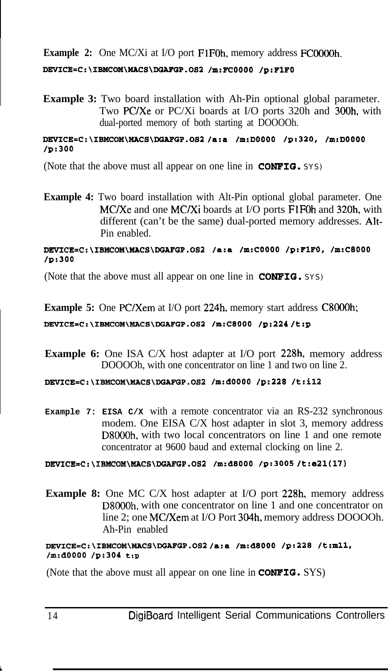**Example 2:** One MC/Xi at I/O port FlFOh, memory address FCOOOOh.

#### **DF.VICB=C:\IBMCOM\MACS\DGAFGP.OS2** */m:FCOOOO* **/9:FlFO**

**Example 3:** Two board installation with Ah-Pin optional global parameter. Two PC/Xe or PC/Xi boards at I/O ports 320h and 300h, with dual-ported memory of both starting at DOOOOh.

#### **DBVICE=C:\IBMCOM\MACS\DGAFGP.082** /a:a **/m:DOOOO /9:320, /m:DOOOO /9:300**

(Note that the above must all appear on one line in **CONFIG.** SYS)

**Example 4:** Two board installation with Alt-Pin optional global parameter. One MC/Xc and one MC/Xi boards at I/O ports FlFOh and 320h, with different (can't be the same) dual-ported memory addresses. Alt-Pin enabled.

#### **DEVICE=C:\IBMCOM\MACS\DGAFGP.082 /a:a /m:COOOO** */9:FlFO, /m:C8000 /9:300*

(Note that the above must all appear on one line in **CONFIG.** SYS)

**Example 5:** One PC/Xem at I/O port 224h, memory start address C8000h;

#### **DEVICE=C:\IBMCOM\MACS\DGAFGP.OS2 /m:CSOOO /9:224** /t:p

**Example 6:** One ISA C/X host adapter at I/O port 228h, memory address DOOOOh, with one concentrator on line 1 and two on line 2.

#### **DBVICE=C:\IBMCOM\MACS\DGAFGP.OS2 /m:dOOOO /9:220 /t:il2**

**Example 7: EISA C/X** with a remote concentrator via an RS-232 synchronous modem. One EISA C/X host adapter in slot 3, memory address D8OOOh, with two local concentrators on line 1 and one remote concentrator at 9600 baud and external clocking on line 2.

#### **DEVICE=C:\IBMCOM\MACS\DGAFGP.OS2 /m:dSOOO** */9:3005* /t:e21(17)

**Example 8:** One MC C/X host adapter at I/O port 228h, memory address D8OOOh, with one concentrator on line 1 and one concentrator on line 2; one MC/Xem at I/O Port 304h, memory address DOOOOh. Ah-Pin enabled

#### **DEVICE=C:\IBMCOM\MACS\DGAFGP.OS2** /a:a **/m:dSOOO /9:220 /t:mll,** */m:dOOOO /9:304 t:p*

(Note that the above must all appear on one line in **CONFIG.** SYS)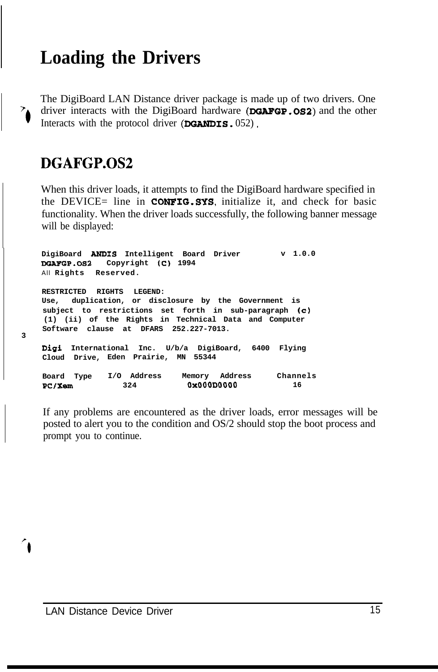## **Loading the Drivers**

The DigiBoard LAN Distance driver package is made up of two drivers. One driver interacts with the DigiBoard hardware (DGAFGP.0S2) and the other Interacts with the protocol driver  $(DGANDIS. 052)$ .

### **DGAFGP.OS2**

 $\overline{\mathcal{L}}$ 

**3**

When this driver loads, it attempts to find the DigiBoard hardware specified in the DEVICE= line in **CONFIG.SYS**, initialize it, and check for basic functionality. When the driver loads successfully, the following banner message will be displayed:

**DigiBoard ANDIS Intelligent Board Driver DGAFGP.092 Copyright (C) 1994** All **Rights Reserved. v 1.0.0 RESTRICTED RIGHTS LEGEND: Use, duplication, or disclosure by the Government is subject to restrictions set forth in sub-paragraph (c) (1) (ii) of the Rights in Technical Data and Computer Software clause at DFARS 252.227-7013. Digi International Inc. U/b/a DigiBoard, 6400 Flying Cloud Drive, Eden Prairie, MN 55344 Board Type I/O Address Memory Address Channels**<br>**BC/Xem** 324 **0x000D0000** 16 **PC/Xem 324 0x000D0000** 

If any problems are encountered as the driver loads, error messages will be posted to alert you to the condition and OS/2 should stop the boot process and prompt you to continue.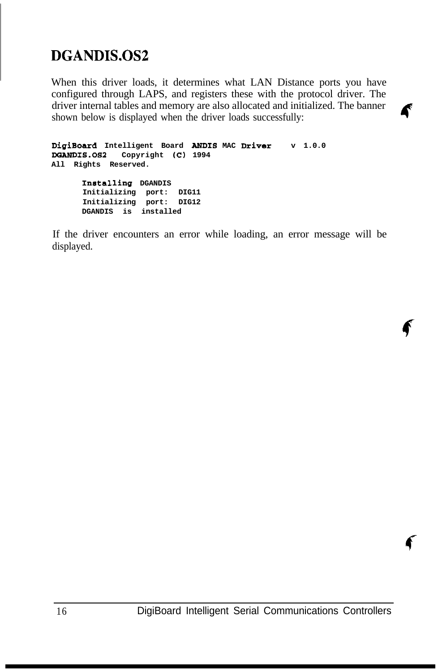## **DGANDIS.OS2**

When this driver loads, it determines what LAN Distance ports you have configured through LAPS, and registers these with the protocol driver. The driver internal tables and memory are also allocated and initialized. The banner  $\alpha$  iver much a allocated and initialized. The banner shown below is displayed when the driver loads successfully:

```
DigiBoard Intelligent Board ANDIS MAC Driver v 1.0.0
DGANDIS.092 Copyright (C) 1994
All Rights Reserved.
      Installing DGANDIS
      Initializing port: DIG11
      Initializing port: DIG12
      DGANDIS is installed
```
If the driver encounters an error while loading, an error message will be displayed.

€

f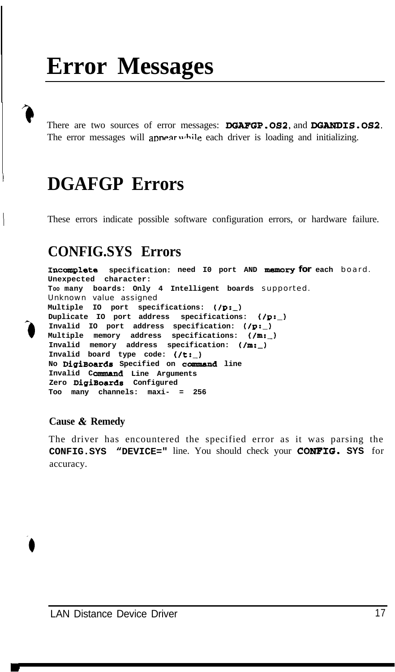# **Error Messages**

There are two sources of error messages: DGAFGP.OS2, and **DGANDIS.052.** The error messages will appear while each driver is loading and initializing.

## **DGAFGP Errors**

<sup>I</sup> These errors indicate possible software configuration errors, or hardware failure.

## **CONFIG.SYS Errors**

**1ncoraplet.e specification: need I0 port AND memory for each** board. **Unexpected character: TOO many boards: Only 4 Intelligent boards** supported. Unknown value assigned **Multiple IO port specifications: f/p:\_)** Duplicate IO port address specifications:  $($ /p:\_) Invalid IO port address specification:  $($ /p:\_) **Multiple memory address specifications: f/m:\_) Invalid memory address specification: t/m:\_)** Invalid board type code:  $(\nmid t:$ **No DigiBoards Specified on command line Invalid COnrmana Line Arguments Zero DigiBoards Configured Too many channels: maxi- = 256**

#### **Cause & Remedy**

**3**

The driver has encountered the specified error as it was parsing the **CONFIG.SYS "DEVICE="** line. You should check your **CONFIG. SYS** for accuracy.